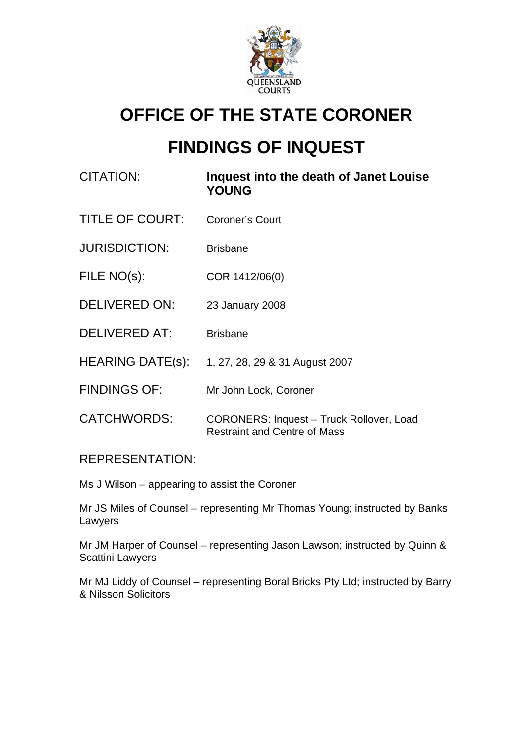

# **OFFICE OF THE STATE CORONER**

# **FINDINGS OF INQUEST**

| CITATION:               | Inquest into the death of Janet Louise<br><b>YOUNG</b>                          |
|-------------------------|---------------------------------------------------------------------------------|
| <b>TITLE OF COURT:</b>  | Coroner's Court                                                                 |
| <b>JURISDICTION:</b>    | <b>Brisbane</b>                                                                 |
| FILE NO(s):             | COR 1412/06(0)                                                                  |
| <b>DELIVERED ON:</b>    | 23 January 2008                                                                 |
| <b>DELIVERED AT:</b>    | <b>Brisbane</b>                                                                 |
| <b>HEARING DATE(s):</b> | 1, 27, 28, 29 & 31 August 2007                                                  |
| <b>FINDINGS OF:</b>     | Mr John Lock, Coroner                                                           |
| <b>CATCHWORDS:</b>      | CORONERS: Inquest - Truck Rollover, Load<br><b>Restraint and Centre of Mass</b> |

# REPRESENTATION:

Ms J Wilson – appearing to assist the Coroner

Mr JS Miles of Counsel – representing Mr Thomas Young; instructed by Banks Lawyers

Mr JM Harper of Counsel – representing Jason Lawson; instructed by Quinn & Scattini Lawyers

Mr MJ Liddy of Counsel – representing Boral Bricks Pty Ltd; instructed by Barry & Nilsson Solicitors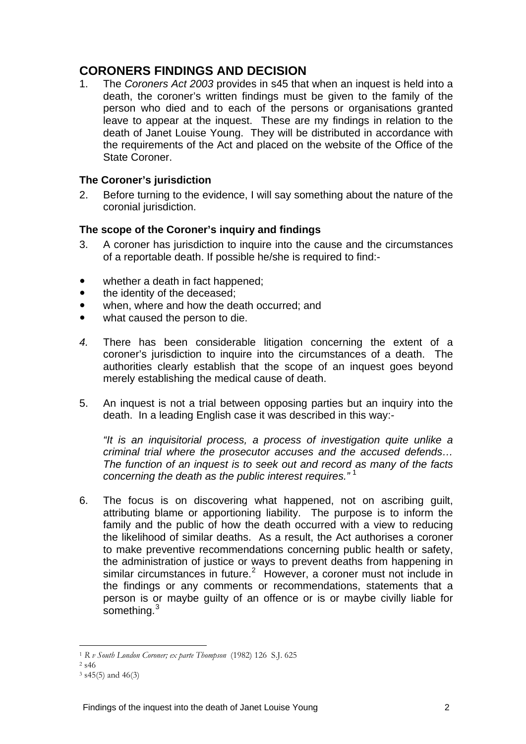# **CORONERS FINDINGS AND DECISION**

1. The *Coroners Act 2003* provides in s45 that when an inquest is held into a death, the coroner's written findings must be given to the family of the person who died and to each of the persons or organisations granted leave to appear at the inquest. These are my findings in relation to the death of Janet Louise Young. They will be distributed in accordance with the requirements of the Act and placed on the website of the Office of the State Coroner.

#### **The Coroner's jurisdiction**

2. Before turning to the evidence, I will say something about the nature of the coronial jurisdiction.

#### **The scope of the Coroner's inquiry and findings**

- 3. A coroner has jurisdiction to inquire into the cause and the circumstances of a reportable death. If possible he/she is required to find:-
- whether a death in fact happened;
- the identity of the deceased:
- when, where and how the death occurred; and
- what caused the person to die.
- *4.* There has been considerable litigation concerning the extent of a coroner's jurisdiction to inquire into the circumstances of a death. The authorities clearly establish that the scope of an inquest goes beyond merely establishing the medical cause of death.
- 5. An inquest is not a trial between opposing parties but an inquiry into the death. In a leading English case it was described in this way:-

 *"It is an inquisitorial process, a process of investigation quite unlike a criminal trial where the prosecutor accuses and the accused defends… The function of an inquest is to seek out and record as many of the facts concerning the death as the public interest requires."* [1](#page-1-0)

6. The focus is on discovering what happened, not on ascribing guilt, attributing blame or apportioning liability. The purpose is to inform the family and the public of how the death occurred with a view to reducing the likelihood of similar deaths. As a result, the Act authorises a coroner to make preventive recommendations concerning public health or safety, the administration of justice or ways to prevent deaths from happening in similar circumstances in future.<sup>[2](#page-1-1)</sup> However, a coroner must not include in the findings or any comments or recommendations, statements that a person is or maybe guilty of an offence or is or maybe civilly liable for something.<sup>[3](#page-1-2)</sup>

 $\overline{a}$ <sup>1</sup> *R v South London Coroner; ex parte Thompson* (1982) 126 S.J. 625 2 s46

<span id="page-1-2"></span><span id="page-1-1"></span><span id="page-1-0"></span>

 $3$  s45(5) and 46(3)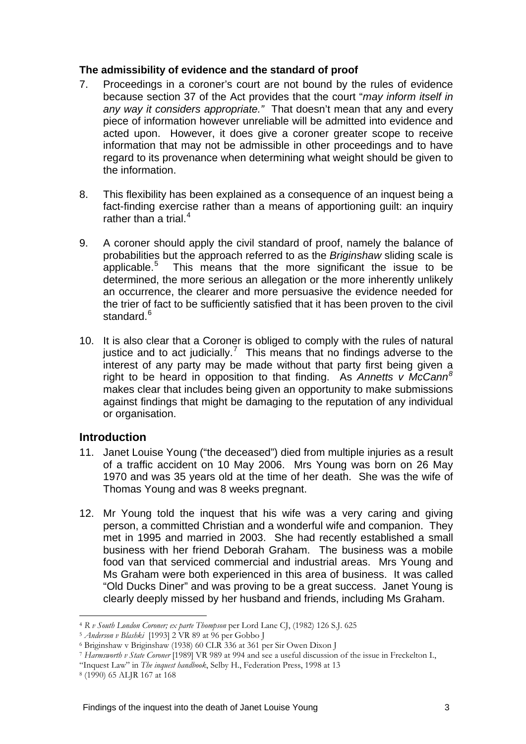#### **The admissibility of evidence and the standard of proof**

- 7. Proceedings in a coroner's court are not bound by the rules of evidence because section 37 of the Act provides that the court "*may inform itself in any way it considers appropriate."* That doesn't mean that any and every piece of information however unreliable will be admitted into evidence and acted upon. However, it does give a coroner greater scope to receive information that may not be admissible in other proceedings and to have regard to its provenance when determining what weight should be given to the information.
- 8. This flexibility has been explained as a consequence of an inquest being a fact-finding exercise rather than a means of apportioning guilt: an inquiry rather than a trial. $4$
- 9. A coroner should apply the civil standard of proof, namely the balance of probabilities but the approach referred to as the *Briginshaw* sliding scale is applicable. $5$  This means that the more significant the issue to be determined, the more serious an allegation or the more inherently unlikely an occurrence, the clearer and more persuasive the evidence needed for the trier of fact to be sufficiently satisfied that it has been proven to the civil standard.<sup>[6](#page-2-2)</sup>
- 10. It is also clear that a Coroner is obliged to comply with the rules of natural justice and to act judicially.<sup>[7](#page-2-3)</sup> This means that no findings adverse to the interest of any party may be made without that party first being given a right to be heard in opposition to that finding. As *Annetts v McCann[8](#page-2-4)* makes clear that includes being given an opportunity to make submissions against findings that might be damaging to the reputation of any individual or organisation.

# **Introduction**

- 11. Janet Louise Young ("the deceased") died from multiple injuries as a result of a traffic accident on 10 May 2006. Mrs Young was born on 26 May 1970 and was 35 years old at the time of her death. She was the wife of Thomas Young and was 8 weeks pregnant.
- 12. Mr Young told the inquest that his wife was a very caring and giving person, a committed Christian and a wonderful wife and companion. They met in 1995 and married in 2003. She had recently established a small business with her friend Deborah Graham. The business was a mobile food van that serviced commercial and industrial areas. Mrs Young and Ms Graham were both experienced in this area of business. It was called "Old Ducks Diner" and was proving to be a great success. Janet Young is clearly deeply missed by her husband and friends, including Ms Graham.

<span id="page-2-0"></span> $\overline{a}$ <sup>4</sup> *R v South London Coroner; ex parte Thompson* per Lord Lane CJ, (1982) 126 S.J. 625 5 *Anderson v Blashki* [1993] 2 VR 89 at 96 per Gobbo J 6 Briginshaw v Briginshaw (1938) 60 CLR 336 at 361 per Sir Owen Dixon J

<span id="page-2-1"></span>

<span id="page-2-2"></span>

<span id="page-2-3"></span><sup>7</sup> *Harmsworth v State Coroner* [1989] VR 989 at 994 and see a useful discussion of the issue in Freckelton I.,

<sup>&</sup>quot;Inquest Law" in *The inquest handbook*, Selby H., Federation Press, 1998 at 13 8 (1990) 65 ALJR 167 at 168

<span id="page-2-4"></span>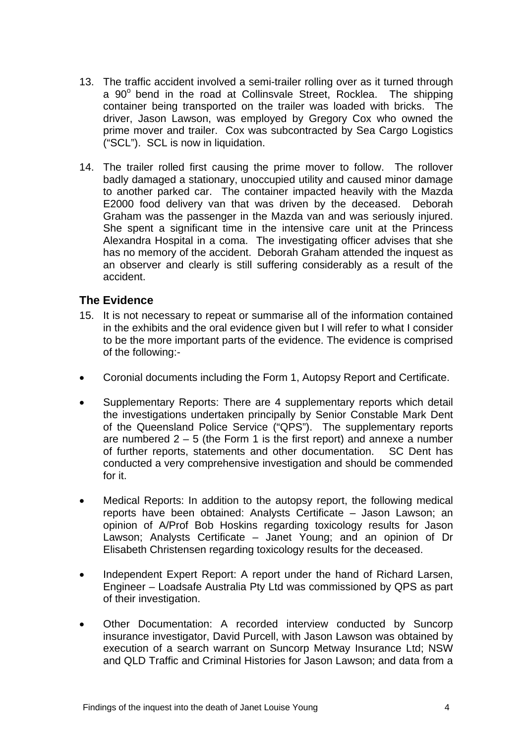- 13. The traffic accident involved a semi-trailer rolling over as it turned through a 90° bend in the road at Collinsvale Street, Rocklea. The shipping container being transported on the trailer was loaded with bricks. The driver, Jason Lawson, was employed by Gregory Cox who owned the prime mover and trailer. Cox was subcontracted by Sea Cargo Logistics ("SCL"). SCL is now in liquidation.
- 14. The trailer rolled first causing the prime mover to follow. The rollover badly damaged a stationary, unoccupied utility and caused minor damage to another parked car. The container impacted heavily with the Mazda E2000 food delivery van that was driven by the deceased. Deborah Graham was the passenger in the Mazda van and was seriously injured. She spent a significant time in the intensive care unit at the Princess Alexandra Hospital in a coma. The investigating officer advises that she has no memory of the accident. Deborah Graham attended the inquest as an observer and clearly is still suffering considerably as a result of the accident.

# **The Evidence**

- 15. It is not necessary to repeat or summarise all of the information contained in the exhibits and the oral evidence given but I will refer to what I consider to be the more important parts of the evidence. The evidence is comprised of the following:-
- Coronial documents including the Form 1, Autopsy Report and Certificate.
- Supplementary Reports: There are 4 supplementary reports which detail the investigations undertaken principally by Senior Constable Mark Dent of the Queensland Police Service ("QPS"). The supplementary reports are numbered  $2 - 5$  (the Form 1 is the first report) and annexe a number of further reports, statements and other documentation. SC Dent has conducted a very comprehensive investigation and should be commended for it.
- Medical Reports: In addition to the autopsy report, the following medical reports have been obtained: Analysts Certificate – Jason Lawson; an opinion of A/Prof Bob Hoskins regarding toxicology results for Jason Lawson; Analysts Certificate – Janet Young; and an opinion of Dr Elisabeth Christensen regarding toxicology results for the deceased.
- Independent Expert Report: A report under the hand of Richard Larsen, Engineer – Loadsafe Australia Pty Ltd was commissioned by QPS as part of their investigation.
- Other Documentation: A recorded interview conducted by Suncorp insurance investigator, David Purcell, with Jason Lawson was obtained by execution of a search warrant on Suncorp Metway Insurance Ltd; NSW and QLD Traffic and Criminal Histories for Jason Lawson; and data from a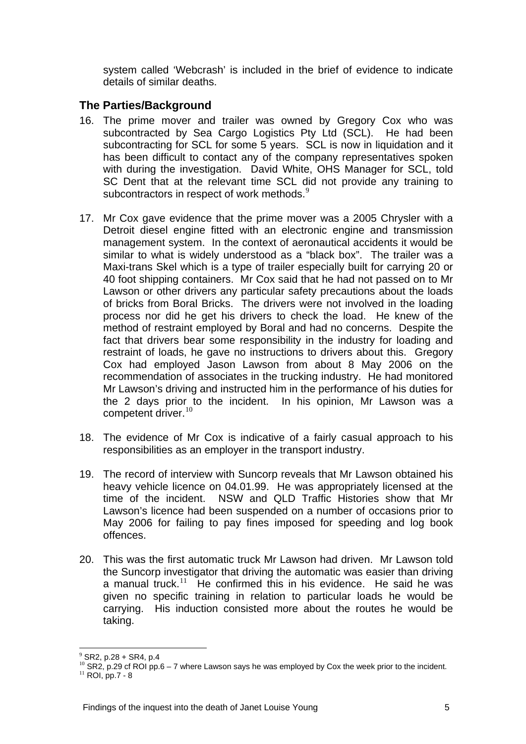system called 'Webcrash' is included in the brief of evidence to indicate details of similar deaths.

# **The Parties/Background**

- 16. The prime mover and trailer was owned by Gregory Cox who was subcontracted by Sea Cargo Logistics Pty Ltd (SCL). He had been subcontracting for SCL for some 5 years. SCL is now in liquidation and it has been difficult to contact any of the company representatives spoken with during the investigation. David White, OHS Manager for SCL, told SC Dent that at the relevant time SCL did not provide any training to subcontractors in respect of work methods.<sup>[9](#page-4-0)</sup>
- 17. Mr Cox gave evidence that the prime mover was a 2005 Chrysler with a Detroit diesel engine fitted with an electronic engine and transmission management system. In the context of aeronautical accidents it would be similar to what is widely understood as a "black box". The trailer was a Maxi-trans Skel which is a type of trailer especially built for carrying 20 or 40 foot shipping containers. Mr Cox said that he had not passed on to Mr Lawson or other drivers any particular safety precautions about the loads of bricks from Boral Bricks. The drivers were not involved in the loading process nor did he get his drivers to check the load. He knew of the method of restraint employed by Boral and had no concerns. Despite the fact that drivers bear some responsibility in the industry for loading and restraint of loads, he gave no instructions to drivers about this. Gregory Cox had employed Jason Lawson from about 8 May 2006 on the recommendation of associates in the trucking industry. He had monitored Mr Lawson's driving and instructed him in the performance of his duties for the 2 days prior to the incident. In his opinion, Mr Lawson was a competent driver.<sup>[10](#page-4-1)</sup>
- 18. The evidence of Mr Cox is indicative of a fairly casual approach to his responsibilities as an employer in the transport industry.
- 19. The record of interview with Suncorp reveals that Mr Lawson obtained his heavy vehicle licence on 04.01.99. He was appropriately licensed at the time of the incident. NSW and QLD Traffic Histories show that Mr Lawson's licence had been suspended on a number of occasions prior to May 2006 for failing to pay fines imposed for speeding and log book offences.
- 20. This was the first automatic truck Mr Lawson had driven. Mr Lawson told the Suncorp investigator that driving the automatic was easier than driving a manual truck.<sup>[11](#page-4-2)</sup> He confirmed this in his evidence. He said he was given no specific training in relation to particular loads he would be carrying. His induction consisted more about the routes he would be taking.

 $\overline{a}$  $9$  SR2, p.28 + SR4, p.4

<span id="page-4-2"></span><span id="page-4-1"></span><span id="page-4-0"></span> $^{10}$  SR2, p.29 cf ROI pp.6 – 7 where Lawson says he was employed by Cox the week prior to the incident.<br><sup>11</sup> ROI, pp.7 - 8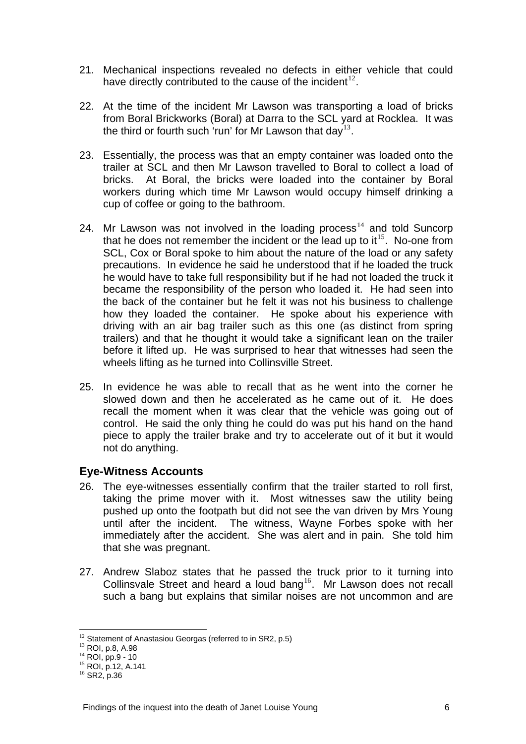- 21. Mechanical inspections revealed no defects in either vehicle that could have directly contributed to the cause of the incident<sup>[12](#page-5-0)</sup>.
- 22. At the time of the incident Mr Lawson was transporting a load of bricks from Boral Brickworks (Boral) at Darra to the SCL yard at Rocklea. It was the third or fourth such 'run' for Mr Lawson that  $day^{13}$  $day^{13}$  $day^{13}$ .
- 23. Essentially, the process was that an empty container was loaded onto the trailer at SCL and then Mr Lawson travelled to Boral to collect a load of bricks. At Boral, the bricks were loaded into the container by Boral workers during which time Mr Lawson would occupy himself drinking a cup of coffee or going to the bathroom.
- 24. Mr Lawson was not involved in the loading process $14$  and told Suncorp that he does not remember the incident or the lead up to  $it^{15}$  $it^{15}$  $it^{15}$ . No-one from SCL, Cox or Boral spoke to him about the nature of the load or any safety precautions. In evidence he said he understood that if he loaded the truck he would have to take full responsibility but if he had not loaded the truck it became the responsibility of the person who loaded it. He had seen into the back of the container but he felt it was not his business to challenge how they loaded the container. He spoke about his experience with driving with an air bag trailer such as this one (as distinct from spring trailers) and that he thought it would take a significant lean on the trailer before it lifted up. He was surprised to hear that witnesses had seen the wheels lifting as he turned into Collinsville Street.
- 25. In evidence he was able to recall that as he went into the corner he slowed down and then he accelerated as he came out of it. He does recall the moment when it was clear that the vehicle was going out of control. He said the only thing he could do was put his hand on the hand piece to apply the trailer brake and try to accelerate out of it but it would not do anything.

#### **Eye-Witness Accounts**

- 26. The eye-witnesses essentially confirm that the trailer started to roll first, taking the prime mover with it. Most witnesses saw the utility being pushed up onto the footpath but did not see the van driven by Mrs Young until after the incident. The witness, Wayne Forbes spoke with her immediately after the accident. She was alert and in pain. She told him that she was pregnant.
- 27. Andrew Slaboz states that he passed the truck prior to it turning into Collinsvale Street and heard a loud bang<sup>[16](#page-5-4)</sup>. Mr Lawson does not recall such a bang but explains that similar noises are not uncommon and are

 $\overline{a}$ 

 $12$  Statement of Anastasiou Georgas (referred to in SR2, p.5)

<span id="page-5-1"></span><span id="page-5-0"></span><sup>13</sup> ROI, p.8, A.98

<span id="page-5-2"></span><sup>14</sup> ROI, pp.9 - 10

<span id="page-5-3"></span><sup>15</sup> ROI, p.12, A.141

<span id="page-5-4"></span><sup>16</sup> SR2, p.36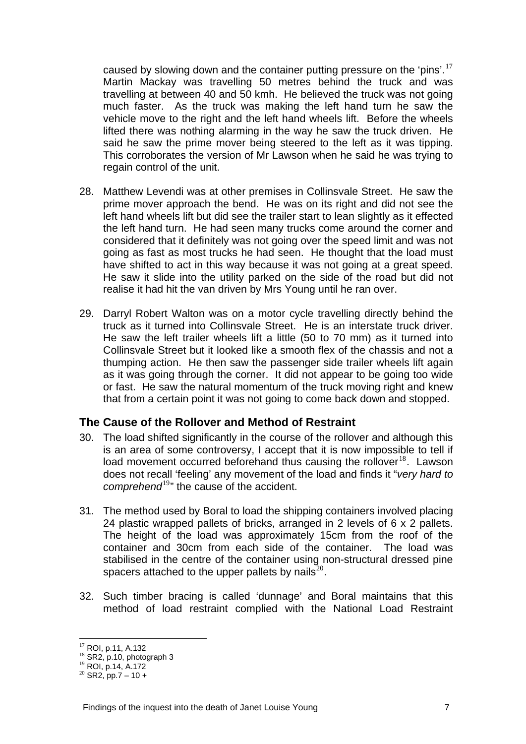caused by slowing down and the container putting pressure on the 'pins'.<sup>17</sup> Martin Mackay was travelling 50 metres behind the truck and was travelling at between 40 and 50 kmh. He believed the truck was not going much faster. As the truck was making the left hand turn he saw the vehicle move to the right and the left hand wheels lift. Before the wheels lifted there was nothing alarming in the way he saw the truck driven. He said he saw the prime mover being steered to the left as it was tipping. This corroborates the version of Mr Lawson when he said he was trying to regain control of the unit.

- 28. Matthew Levendi was at other premises in Collinsvale Street. He saw the prime mover approach the bend. He was on its right and did not see the left hand wheels lift but did see the trailer start to lean slightly as it effected the left hand turn. He had seen many trucks come around the corner and considered that it definitely was not going over the speed limit and was not going as fast as most trucks he had seen. He thought that the load must have shifted to act in this way because it was not going at a great speed. He saw it slide into the utility parked on the side of the road but did not realise it had hit the van driven by Mrs Young until he ran over.
- 29. Darryl Robert Walton was on a motor cycle travelling directly behind the truck as it turned into Collinsvale Street. He is an interstate truck driver. He saw the left trailer wheels lift a little (50 to 70 mm) as it turned into Collinsvale Street but it looked like a smooth flex of the chassis and not a thumping action. He then saw the passenger side trailer wheels lift again as it was going through the corner. It did not appear to be going too wide or fast. He saw the natural momentum of the truck moving right and knew that from a certain point it was not going to come back down and stopped.

# **The Cause of the Rollover and Method of Restraint**

- 30. The load shifted significantly in the course of the rollover and although this is an area of some controversy, I accept that it is now impossible to tell if load movement occurred beforehand thus causing the rollover $18$ . Lawson does not recall 'feeling' any movement of the load and finds it "*very hard to comprehend*[19](#page-6-1)" the cause of the accident.
- 31. The method used by Boral to load the shipping containers involved placing 24 plastic wrapped pallets of bricks, arranged in 2 levels of 6 x 2 pallets. The height of the load was approximately 15cm from the roof of the container and 30cm from each side of the container. The load was stabilised in the centre of the container using non-structural dressed pine spacers attached to the upper pallets by nails $^{20}$  $^{20}$  $^{20}$ .
- 32. Such timber bracing is called 'dunnage' and Boral maintains that this method of load restraint complied with the National Load Restraint

 $\overline{a}$ <sup>17</sup> ROI, p.11, A.132

<sup>&</sup>lt;sup>18</sup> SR2, p.10, photograph 3

<span id="page-6-1"></span><span id="page-6-0"></span><sup>19</sup> ROI, p.14, A.172

<span id="page-6-2"></span> $20$  SR2, pp.7 – 10 +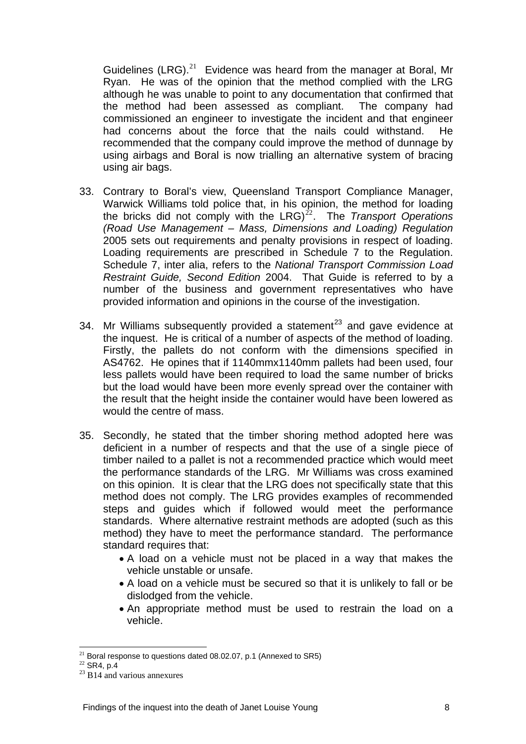Guidelines  $(LRG).^{21}$  Evidence was heard from the manager at Boral, Mr Ryan. He was of the opinion that the method complied with the LRG although he was unable to point to any documentation that confirmed that the method had been assessed as compliant. The company had commissioned an engineer to investigate the incident and that engineer had concerns about the force that the nails could withstand. He recommended that the company could improve the method of dunnage by using airbags and Boral is now trialling an alternative system of bracing using air bags.

- 33. Contrary to Boral's view, Queensland Transport Compliance Manager, Warwick Williams told police that, in his opinion, the method for loading the bricks did not comply with the LRG)<sup>[22](#page-7-0)</sup>. The *Transport Operations (Road Use Management – Mass, Dimensions and Loading) Regulation* 2005 sets out requirements and penalty provisions in respect of loading. Loading requirements are prescribed in Schedule 7 to the Regulation. Schedule 7, inter alia, refers to the *National Transport Commission Load Restraint Guide, Second Edition* 2004. That Guide is referred to by a number of the business and government representatives who have provided information and opinions in the course of the investigation.
- 34. Mr Williams subsequently provided a statement<sup>[23](#page-7-1)</sup> and gave evidence at the inquest. He is critical of a number of aspects of the method of loading. Firstly, the pallets do not conform with the dimensions specified in AS4762. He opines that if 1140mmx1140mm pallets had been used, four less pallets would have been required to load the same number of bricks but the load would have been more evenly spread over the container with the result that the height inside the container would have been lowered as would the centre of mass.
- 35. Secondly, he stated that the timber shoring method adopted here was deficient in a number of respects and that the use of a single piece of timber nailed to a pallet is not a recommended practice which would meet the performance standards of the LRG. Mr Williams was cross examined on this opinion. It is clear that the LRG does not specifically state that this method does not comply. The LRG provides examples of recommended steps and guides which if followed would meet the performance standards. Where alternative restraint methods are adopted (such as this method) they have to meet the performance standard. The performance standard requires that:
	- A load on a vehicle must not be placed in a way that makes the vehicle unstable or unsafe.
	- A load on a vehicle must be secured so that it is unlikely to fall or be dislodged from the vehicle.
	- An appropriate method must be used to restrain the load on a vehicle.

 $\overline{a}$  $^{21}$  Boral response to questions dated 08.02.07, p.1 (Annexed to SR5)

<span id="page-7-0"></span><sup>22</sup> SR4, p.4

<span id="page-7-1"></span> $23$  B14 and various annexures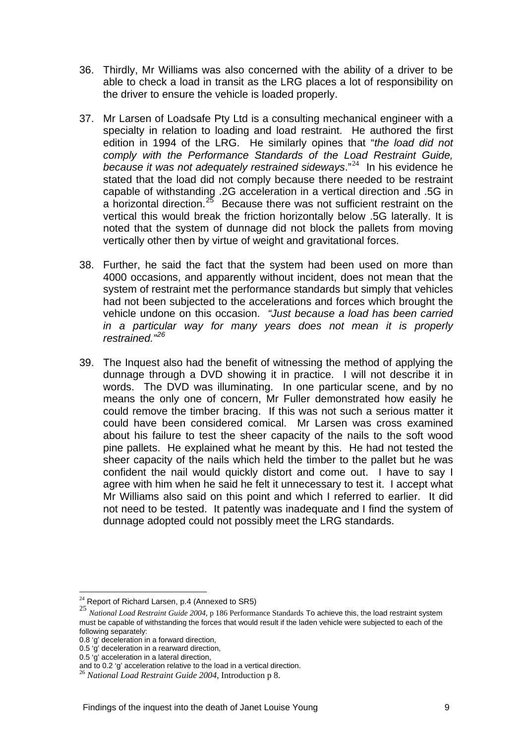- 36. Thirdly, Mr Williams was also concerned with the ability of a driver to be able to check a load in transit as the LRG places a lot of responsibility on the driver to ensure the vehicle is loaded properly.
- 37. Mr Larsen of Loadsafe Pty Ltd is a consulting mechanical engineer with a specialty in relation to loading and load restraint. He authored the first edition in 1994 of the LRG. He similarly opines that "*the load did not comply with the Performance Standards of the Load Restraint Guide, because it was not adequately restrained sideways*."[24](#page-8-0) In his evidence he stated that the load did not comply because there needed to be restraint capable of withstanding .2G acceleration in a vertical direction and .5G in a horizontal direction.<sup>[25](#page-8-1)</sup> Because there was not sufficient restraint on the vertical this would break the friction horizontally below .5G laterally. It is noted that the system of dunnage did not block the pallets from moving vertically other then by virtue of weight and gravitational forces.
- 38. Further, he said the fact that the system had been used on more than 4000 occasions, and apparently without incident, does not mean that the system of restraint met the performance standards but simply that vehicles had not been subjected to the accelerations and forces which brought the vehicle undone on this occasion. *"Just because a load has been carried in a particular way for many years does not mean it is properly restrained."[26](#page-8-2)*
- 39. The Inquest also had the benefit of witnessing the method of applying the dunnage through a DVD showing it in practice. I will not describe it in words. The DVD was illuminating. In one particular scene, and by no means the only one of concern, Mr Fuller demonstrated how easily he could remove the timber bracing. If this was not such a serious matter it could have been considered comical. Mr Larsen was cross examined about his failure to test the sheer capacity of the nails to the soft wood pine pallets. He explained what he meant by this. He had not tested the sheer capacity of the nails which held the timber to the pallet but he was confident the nail would quickly distort and come out. I have to say I agree with him when he said he felt it unnecessary to test it. I accept what Mr Williams also said on this point and which I referred to earlier. It did not need to be tested. It patently was inadequate and I find the system of dunnage adopted could not possibly meet the LRG standards.

 $\overline{a}$  $24$  Report of Richard Larsen, p.4 (Annexed to SR5)

<span id="page-8-1"></span><span id="page-8-0"></span><sup>25</sup> *National Load Restraint Guide 2004*, p 186 Performance Standards To achieve this, the load restraint system must be capable of withstanding the forces that would result if the laden vehicle were subjected to each of the following separately:

<sup>0.8 &#</sup>x27;g' deceleration in a forward direction,

<sup>0.5 &#</sup>x27;g' deceleration in a rearward direction,

<sup>0.5 &#</sup>x27;g' acceleration in a lateral direction,<br>and to 0.2 'g' acceleration relative to the load in a vertical direction.

<span id="page-8-2"></span><sup>&</sup>lt;sup>26</sup> National Load Restraint Guide 2004, Introduction p 8.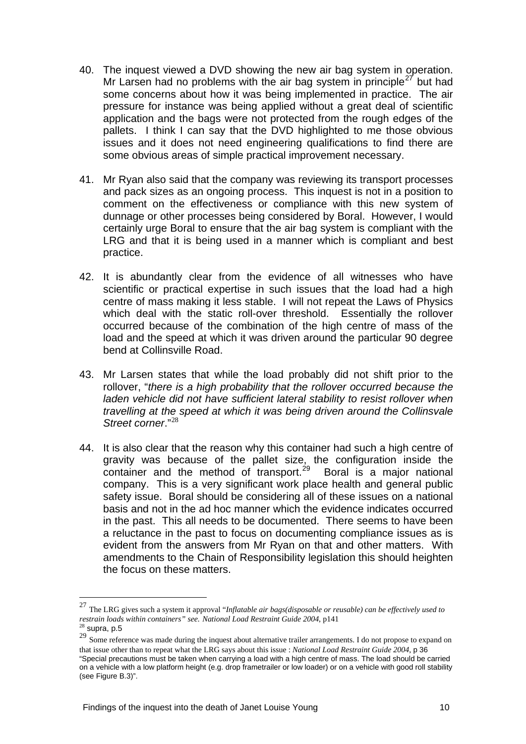- 40. The inquest viewed a DVD showing the new air bag system in operation. Mr Larsen had no problems with the air bag system in principle<sup>[27](#page-9-0)</sup> but had some concerns about how it was being implemented in practice. The air pressure for instance was being applied without a great deal of scientific application and the bags were not protected from the rough edges of the pallets. I think I can say that the DVD highlighted to me those obvious issues and it does not need engineering qualifications to find there are some obvious areas of simple practical improvement necessary.
- 41. Mr Ryan also said that the company was reviewing its transport processes and pack sizes as an ongoing process. This inquest is not in a position to comment on the effectiveness or compliance with this new system of dunnage or other processes being considered by Boral. However, I would certainly urge Boral to ensure that the air bag system is compliant with the LRG and that it is being used in a manner which is compliant and best practice.
- 42. It is abundantly clear from the evidence of all witnesses who have scientific or practical expertise in such issues that the load had a high centre of mass making it less stable. I will not repeat the Laws of Physics which deal with the static roll-over threshold. Essentially the rollover occurred because of the combination of the high centre of mass of the load and the speed at which it was driven around the particular 90 degree bend at Collinsville Road.
- 43. Mr Larsen states that while the load probably did not shift prior to the rollover, "*there is a high probability that the rollover occurred because the*  laden vehicle did not have sufficient lateral stability to resist rollover when *travelling at the speed at which it was being driven around the Collinsvale Street corner*."[28](#page-9-1)
- 44. It is also clear that the reason why this container had such a high centre of gravity was because of the pallet size, the configuration inside the graffy that secales of the panel clean the container and the method of transport.<sup>[29](#page-9-2)</sup> Boral is a major national company. This is a very significant work place health and general public safety issue. Boral should be considering all of these issues on a national basis and not in the ad hoc manner which the evidence indicates occurred in the past. This all needs to be documented. There seems to have been a reluctance in the past to focus on documenting compliance issues as is evident from the answers from Mr Ryan on that and other matters. With amendments to the Chain of Responsibility legislation this should heighten the focus on these matters.

 $\overline{a}$ 

<span id="page-9-0"></span><sup>27</sup> The LRG gives such a system it approval "*Inflatable air bags(disposable or reusable) can be effectively used to restrain loads within containers" see. National Load Restraint Guide 2004, p141*<br><sup>28</sup> supra, p.5

<span id="page-9-2"></span><span id="page-9-1"></span><sup>&</sup>lt;sup>29</sup> Some reference was made during the inquest about alternative trailer arrangements. I do not propose to expand on that issue other than to repeat what the LRG says about this issue : *National Load Restraint Guide 2004*, p 36 "Special precautions must be taken when carrying a load with a high centre of mass. The load should be carried on a vehicle with a low platform height (e.g. drop frametrailer or low loader) or on a vehicle with good roll stability (see Figure B.3)".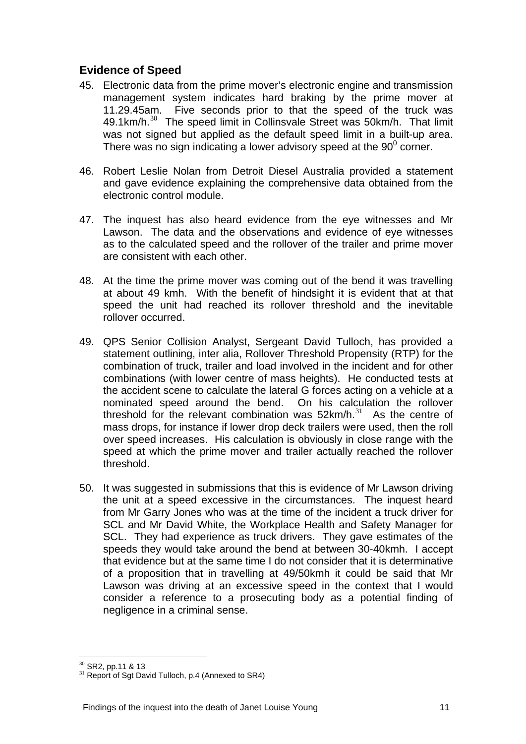# **Evidence of Speed**

- 45. Electronic data from the prime mover's electronic engine and transmission management system indicates hard braking by the prime mover at 11.29.45am. Five seconds prior to that the speed of the truck was 49.1km/h.<sup>[30](#page-10-0)</sup> The speed limit in Collinsvale Street was 50km/h. That limit was not signed but applied as the default speed limit in a built-up area. There was no sign indicating a lower advisory speed at the  $90^{\circ}$  corner.
- 46. Robert Leslie Nolan from Detroit Diesel Australia provided a statement and gave evidence explaining the comprehensive data obtained from the electronic control module.
- 47. The inquest has also heard evidence from the eye witnesses and Mr Lawson. The data and the observations and evidence of eye witnesses as to the calculated speed and the rollover of the trailer and prime mover are consistent with each other.
- 48. At the time the prime mover was coming out of the bend it was travelling at about 49 kmh. With the benefit of hindsight it is evident that at that speed the unit had reached its rollover threshold and the inevitable rollover occurred.
- 49. QPS Senior Collision Analyst, Sergeant David Tulloch, has provided a statement outlining, inter alia, Rollover Threshold Propensity (RTP) for the combination of truck, trailer and load involved in the incident and for other combinations (with lower centre of mass heights). He conducted tests at the accident scene to calculate the lateral G forces acting on a vehicle at a nominated speed around the bend. On his calculation the rollover threshold for the relevant combination was  $52km/h$ .<sup>[31](#page-10-1)</sup> As the centre of mass drops, for instance if lower drop deck trailers were used, then the roll over speed increases. His calculation is obviously in close range with the speed at which the prime mover and trailer actually reached the rollover threshold.
- 50. It was suggested in submissions that this is evidence of Mr Lawson driving the unit at a speed excessive in the circumstances. The inquest heard from Mr Garry Jones who was at the time of the incident a truck driver for SCL and Mr David White, the Workplace Health and Safety Manager for SCL. They had experience as truck drivers. They gave estimates of the speeds they would take around the bend at between 30-40kmh. I accept that evidence but at the same time I do not consider that it is determinative of a proposition that in travelling at 49/50kmh it could be said that Mr Lawson was driving at an excessive speed in the context that I would consider a reference to a prosecuting body as a potential finding of negligence in a criminal sense.

 $\overline{a}$  $30$  SR2, pp.11 & 13

<span id="page-10-1"></span><span id="page-10-0"></span> $31$  Report of Sgt David Tulloch, p.4 (Annexed to SR4)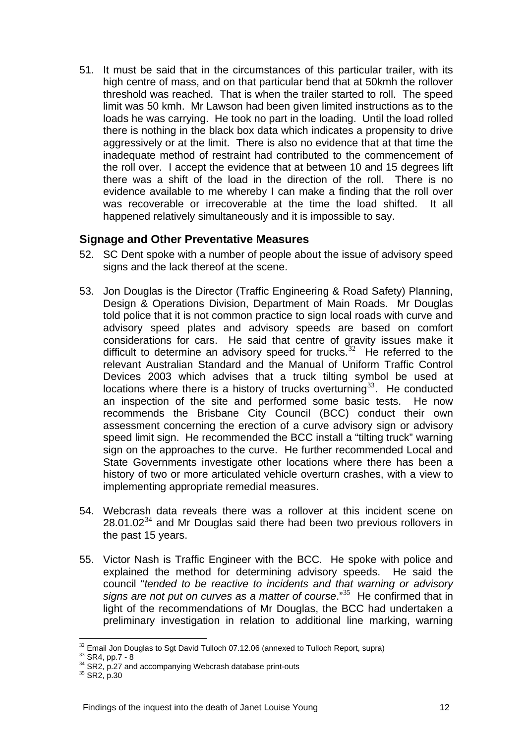51. It must be said that in the circumstances of this particular trailer, with its high centre of mass, and on that particular bend that at 50kmh the rollover threshold was reached. That is when the trailer started to roll. The speed limit was 50 kmh. Mr Lawson had been given limited instructions as to the loads he was carrying. He took no part in the loading. Until the load rolled there is nothing in the black box data which indicates a propensity to drive aggressively or at the limit. There is also no evidence that at that time the inadequate method of restraint had contributed to the commencement of the roll over. I accept the evidence that at between 10 and 15 degrees lift there was a shift of the load in the direction of the roll. There is no evidence available to me whereby I can make a finding that the roll over was recoverable or irrecoverable at the time the load shifted. It all happened relatively simultaneously and it is impossible to say.

#### **Signage and Other Preventative Measures**

- 52. SC Dent spoke with a number of people about the issue of advisory speed signs and the lack thereof at the scene.
- 53. Jon Douglas is the Director (Traffic Engineering & Road Safety) Planning, Design & Operations Division, Department of Main Roads. Mr Douglas told police that it is not common practice to sign local roads with curve and advisory speed plates and advisory speeds are based on comfort considerations for cars. He said that centre of gravity issues make it difficult to determine an advisory speed for trucks.<sup>[32](#page-11-0)</sup> He referred to the relevant Australian Standard and the Manual of Uniform Traffic Control Devices 2003 which advises that a truck tilting symbol be used at locations where there is a history of trucks overturning<sup>[33](#page-11-1)</sup>. He conducted an inspection of the site and performed some basic tests. He now recommends the Brisbane City Council (BCC) conduct their own assessment concerning the erection of a curve advisory sign or advisory speed limit sign. He recommended the BCC install a "tilting truck" warning sign on the approaches to the curve. He further recommended Local and State Governments investigate other locations where there has been a history of two or more articulated vehicle overturn crashes, with a view to implementing appropriate remedial measures.
- 54. Webcrash data reveals there was a rollover at this incident scene on  $28.01.02<sup>34</sup>$  $28.01.02<sup>34</sup>$  $28.01.02<sup>34</sup>$  and Mr Douglas said there had been two previous rollovers in the past 15 years.
- 55. Victor Nash is Traffic Engineer with the BCC. He spoke with police and explained the method for determining advisory speeds. He said the council "*tended to be reactive to incidents and that warning or advisory signs are not put on curves as a matter of course*."[35](#page-11-3) He confirmed that in light of the recommendations of Mr Douglas, the BCC had undertaken a preliminary investigation in relation to additional line marking, warning

 $\overline{a}$  $32$  Email Jon Douglas to Sgt David Tulloch 07.12.06 (annexed to Tulloch Report, supra)

<span id="page-11-1"></span><span id="page-11-0"></span> $33$  SR4, pp.7 - 8

<span id="page-11-2"></span><sup>&</sup>lt;sup>34</sup> SR2, p.27 and accompanying Webcrash database print-outs

<span id="page-11-3"></span><sup>&</sup>lt;sup>35</sup> SR2, p.30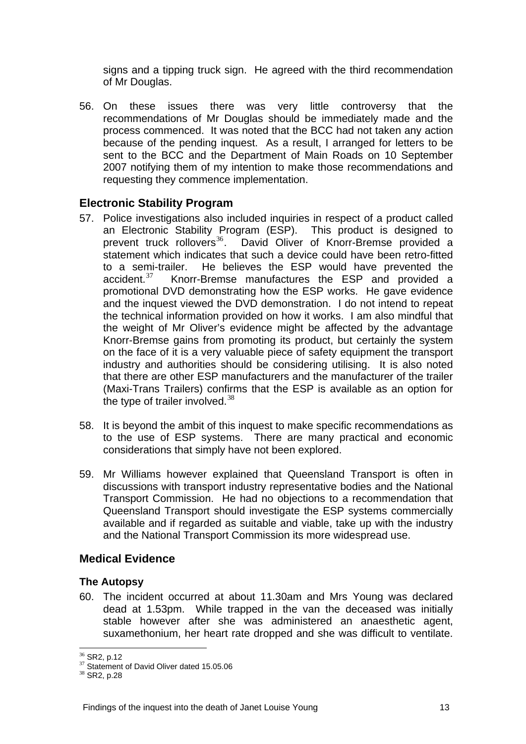signs and a tipping truck sign. He agreed with the third recommendation of Mr Douglas.

56. On these issues there was very little controversy that the recommendations of Mr Douglas should be immediately made and the process commenced. It was noted that the BCC had not taken any action because of the pending inquest. As a result, I arranged for letters to be sent to the BCC and the Department of Main Roads on 10 September 2007 notifying them of my intention to make those recommendations and requesting they commence implementation.

#### **Electronic Stability Program**

- 57. Police investigations also included inquiries in respect of a product called an Electronic Stability Program (ESP). This product is designed to prevent truck rollovers<sup>36</sup>. David Oliver of Knorr-Bremse provided a David Oliver of Knorr-Bremse provided a statement which indicates that such a device could have been retro-fitted to a semi-trailer. He believes the ESP would have prevented the accident.<sup>[37](#page-12-1)</sup> Knorr-Bremse manufactures the ESP and provided a promotional DVD demonstrating how the ESP works. He gave evidence and the inquest viewed the DVD demonstration. I do not intend to repeat the technical information provided on how it works. I am also mindful that the weight of Mr Oliver's evidence might be affected by the advantage Knorr-Bremse gains from promoting its product, but certainly the system on the face of it is a very valuable piece of safety equipment the transport industry and authorities should be considering utilising. It is also noted that there are other ESP manufacturers and the manufacturer of the trailer (Maxi-Trans Trailers) confirms that the ESP is available as an option for the type of trailer involved. $38$
- 58. It is beyond the ambit of this inquest to make specific recommendations as to the use of ESP systems. There are many practical and economic considerations that simply have not been explored.
- 59. Mr Williams however explained that Queensland Transport is often in discussions with transport industry representative bodies and the National Transport Commission. He had no objections to a recommendation that Queensland Transport should investigate the ESP systems commercially available and if regarded as suitable and viable, take up with the industry and the National Transport Commission its more widespread use.

# **Medical Evidence**

#### **The Autopsy**

60. The incident occurred at about 11.30am and Mrs Young was declared dead at 1.53pm. While trapped in the van the deceased was initially stable however after she was administered an anaesthetic agent, suxamethonium, her heart rate dropped and she was difficult to ventilate.

 $\overline{a}$ <sup>36</sup> SR2, p.12

<span id="page-12-2"></span><span id="page-12-1"></span><span id="page-12-0"></span> $37$  Statement of David Oliver dated 15.05.06<br> $38$  SR2, p.28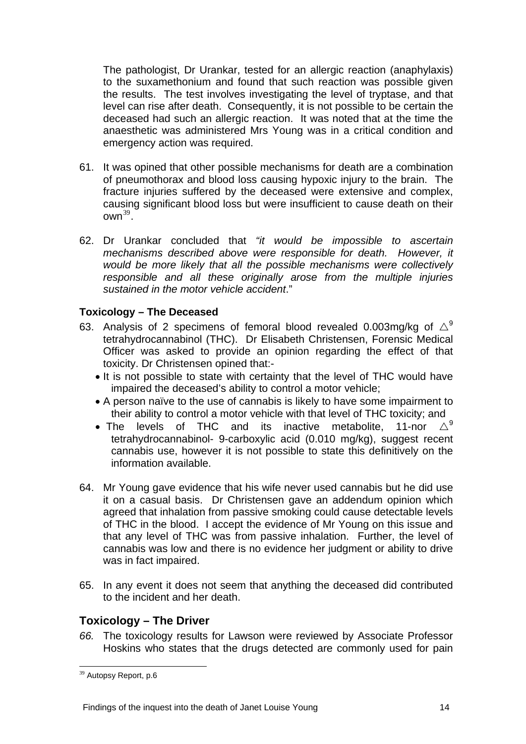The pathologist, Dr Urankar, tested for an allergic reaction (anaphylaxis) to the suxamethonium and found that such reaction was possible given the results. The test involves investigating the level of tryptase, and that level can rise after death. Consequently, it is not possible to be certain the deceased had such an allergic reaction. It was noted that at the time the anaesthetic was administered Mrs Young was in a critical condition and emergency action was required.

- 61. It was opined that other possible mechanisms for death are a combination of pneumothorax and blood loss causing hypoxic injury to the brain. The fracture injuries suffered by the deceased were extensive and complex, causing significant blood loss but were insufficient to cause death on their  $own<sup>39</sup>$  $own<sup>39</sup>$  $own<sup>39</sup>$ .
- 62. Dr Urankar concluded that *"it would be impossible to ascertain mechanisms described above were responsible for death. However, it would be more likely that all the possible mechanisms were collectively responsible and all these originally arose from the multiple injuries sustained in the motor vehicle accident*."

#### **Toxicology – The Deceased**

- 63. Analysis of 2 specimens of femoral blood revealed 0.003mg/kg of  $\triangle^9$ tetrahydrocannabinol (THC). Dr Elisabeth Christensen, Forensic Medical Officer was asked to provide an opinion regarding the effect of that toxicity. Dr Christensen opined that:-
	- It is not possible to state with certainty that the level of THC would have impaired the deceased's ability to control a motor vehicle;
	- A person naïve to the use of cannabis is likely to have some impairment to their ability to control a motor vehicle with that level of THC toxicity; and<br>The levels of THC and its inactive metabolite 11-nor  $\wedge^9$
	- The levels of THC and its inactive metabolite, 11-nor tetrahydrocannabinol- 9-carboxylic acid (0.010 mg/kg), suggest recent cannabis use, however it is not possible to state this definitively on the information available.
- 64. Mr Young gave evidence that his wife never used cannabis but he did use it on a casual basis. Dr Christensen gave an addendum opinion which agreed that inhalation from passive smoking could cause detectable levels of THC in the blood. I accept the evidence of Mr Young on this issue and that any level of THC was from passive inhalation. Further, the level of cannabis was low and there is no evidence her judgment or ability to drive was in fact impaired.
- 65. In any event it does not seem that anything the deceased did contributed to the incident and her death.

#### **Toxicology – The Driver**

*66.* The toxicology results for Lawson were reviewed by Associate Professor Hoskins who states that the drugs detected are commonly used for pain

<span id="page-13-0"></span> $\overline{a}$ <sup>39</sup> Autopsy Report, p.6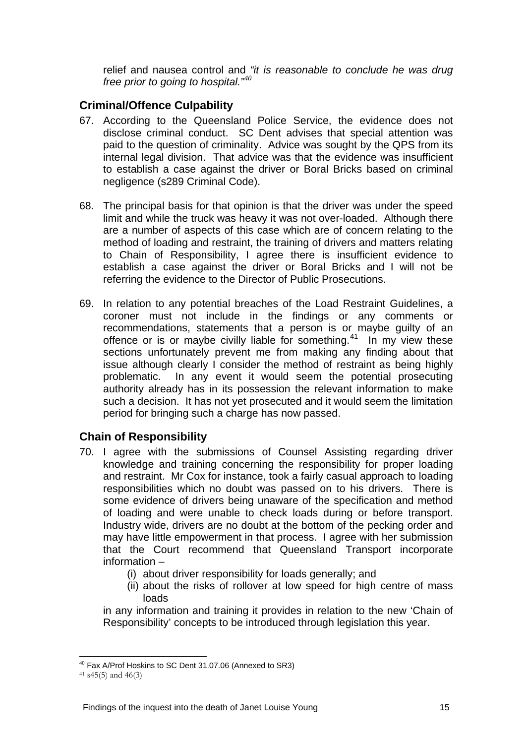relief and nausea control and *"it is reasonable to conclude he was drug free prior to going to hospital."<sup>40</sup>*

# **Criminal/Offence Culpability**

- 67. According to the Queensland Police Service, the evidence does not disclose criminal conduct. SC Dent advises that special attention was paid to the question of criminality. Advice was sought by the QPS from its internal legal division. That advice was that the evidence was insufficient to establish a case against the driver or Boral Bricks based on criminal negligence (s289 Criminal Code).
- 68. The principal basis for that opinion is that the driver was under the speed limit and while the truck was heavy it was not over-loaded. Although there are a number of aspects of this case which are of concern relating to the method of loading and restraint, the training of drivers and matters relating to Chain of Responsibility, I agree there is insufficient evidence to establish a case against the driver or Boral Bricks and I will not be referring the evidence to the Director of Public Prosecutions.
- 69. In relation to any potential breaches of the Load Restraint Guidelines, a coroner must not include in the findings or any comments or recommendations, statements that a person is or maybe guilty of an offence or is or maybe civilly liable for something.<sup>[41](#page-14-0)</sup> In my view these sections unfortunately prevent me from making any finding about that issue although clearly I consider the method of restraint as being highly problematic. In any event it would seem the potential prosecuting authority already has in its possession the relevant information to make such a decision. It has not yet prosecuted and it would seem the limitation period for bringing such a charge has now passed.

# **Chain of Responsibility**

- 70. I agree with the submissions of Counsel Assisting regarding driver knowledge and training concerning the responsibility for proper loading and restraint. Mr Cox for instance, took a fairly casual approach to loading responsibilities which no doubt was passed on to his drivers. There is some evidence of drivers being unaware of the specification and method of loading and were unable to check loads during or before transport. Industry wide, drivers are no doubt at the bottom of the pecking order and may have little empowerment in that process. I agree with her submission that the Court recommend that Queensland Transport incorporate information –
	- (i) about driver responsibility for loads generally; and
	- (ii) about the risks of rollover at low speed for high centre of mass loads

in any information and training it provides in relation to the new 'Chain of Responsibility' concepts to be introduced through legislation this year.

 $\overline{a}$ 

<sup>40</sup> Fax A/Prof Hoskins to SC Dent 31.07.06 (Annexed to SR3)

<span id="page-14-0"></span> $41$  s45(5) and 46(3)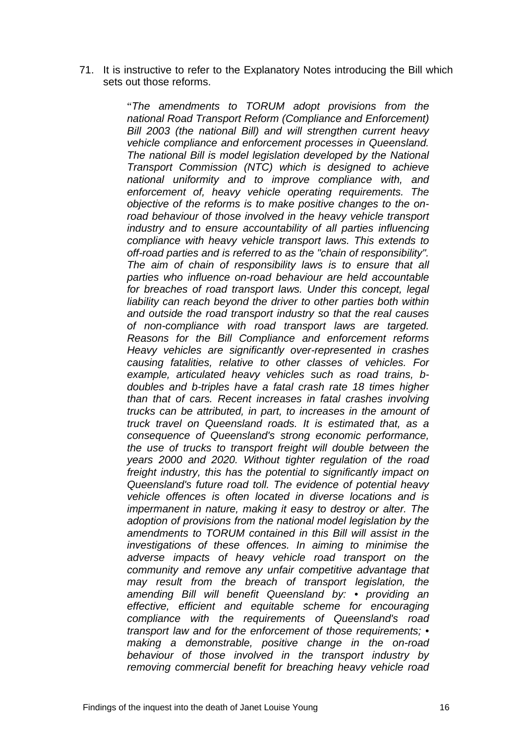71. It is instructive to refer to the Explanatory Notes introducing the Bill which sets out those reforms.

> "*The amendments to TORUM adopt provisions from the national Road Transport Reform (Compliance and Enforcement) Bill 2003 (the national Bill) and will strengthen current heavy vehicle compliance and enforcement processes in Queensland. The national Bill is model legislation developed by the National Transport Commission (NTC) which is designed to achieve national uniformity and to improve compliance with, and enforcement of, heavy vehicle operating requirements. The objective of the reforms is to make positive changes to the onroad behaviour of those involved in the heavy vehicle transport industry and to ensure accountability of all parties influencing compliance with heavy vehicle transport laws. This extends to off-road parties and is referred to as the "chain of responsibility". The aim of chain of responsibility laws is to ensure that all parties who influence on-road behaviour are held accountable for breaches of road transport laws. Under this concept, legal liability can reach beyond the driver to other parties both within and outside the road transport industry so that the real causes of non-compliance with road transport laws are targeted. Reasons for the Bill Compliance and enforcement reforms Heavy vehicles are significantly over-represented in crashes causing fatalities, relative to other classes of vehicles. For example, articulated heavy vehicles such as road trains, bdoubles and b-triples have a fatal crash rate 18 times higher than that of cars. Recent increases in fatal crashes involving trucks can be attributed, in part, to increases in the amount of truck travel on Queensland roads. It is estimated that, as a consequence of Queensland's strong economic performance, the use of trucks to transport freight will double between the years 2000 and 2020. Without tighter regulation of the road freight industry, this has the potential to significantly impact on Queensland's future road toll. The evidence of potential heavy vehicle offences is often located in diverse locations and is impermanent in nature, making it easy to destroy or alter. The adoption of provisions from the national model legislation by the amendments to TORUM contained in this Bill will assist in the investigations of these offences. In aiming to minimise the adverse impacts of heavy vehicle road transport on the community and remove any unfair competitive advantage that may result from the breach of transport legislation, the amending Bill will benefit Queensland by: • providing an effective, efficient and equitable scheme for encouraging compliance with the requirements of Queensland's road transport law and for the enforcement of those requirements; • making a demonstrable, positive change in the on-road behaviour of those involved in the transport industry by removing commercial benefit for breaching heavy vehicle road*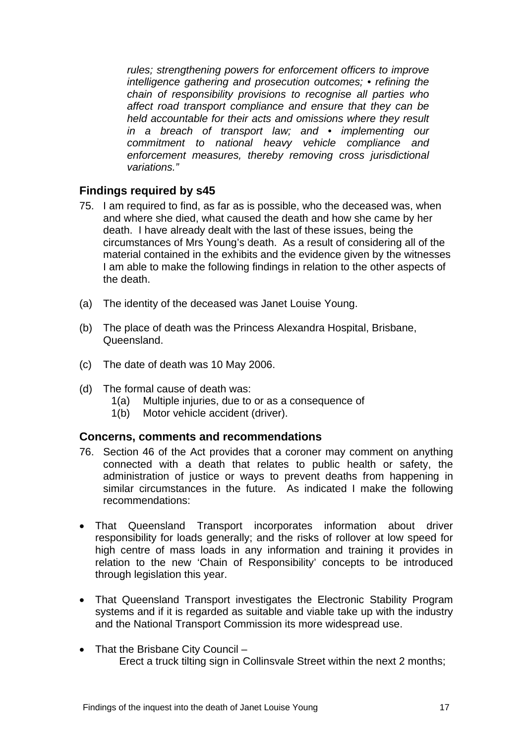*rules; strengthening powers for enforcement officers to improve intelligence gathering and prosecution outcomes; • refining the chain of responsibility provisions to recognise all parties who affect road transport compliance and ensure that they can be held accountable for their acts and omissions where they result in a breach of transport law; and • implementing our commitment to national heavy vehicle compliance and enforcement measures, thereby removing cross jurisdictional variations."* 

#### **Findings required by s45**

- 75. I am required to find, as far as is possible, who the deceased was, when and where she died, what caused the death and how she came by her death. I have already dealt with the last of these issues, being the circumstances of Mrs Young's death. As a result of considering all of the material contained in the exhibits and the evidence given by the witnesses I am able to make the following findings in relation to the other aspects of the death.
- (a) The identity of the deceased was Janet Louise Young.
- (b) The place of death was the Princess Alexandra Hospital, Brisbane, Queensland.
- (c) The date of death was 10 May 2006.
- (d) The formal cause of death was:
	- 1(a) Multiple injuries, due to or as a consequence of
	- 1(b) Motor vehicle accident (driver).

#### **Concerns, comments and recommendations**

- 76. Section 46 of the Act provides that a coroner may comment on anything connected with a death that relates to public health or safety, the administration of justice or ways to prevent deaths from happening in similar circumstances in the future. As indicated I make the following recommendations:
- That Queensland Transport incorporates information about driver responsibility for loads generally; and the risks of rollover at low speed for high centre of mass loads in any information and training it provides in relation to the new 'Chain of Responsibility' concepts to be introduced through legislation this year.
- That Queensland Transport investigates the Electronic Stability Program systems and if it is regarded as suitable and viable take up with the industry and the National Transport Commission its more widespread use.
- That the Brisbane City Council Erect a truck tilting sign in Collinsvale Street within the next 2 months;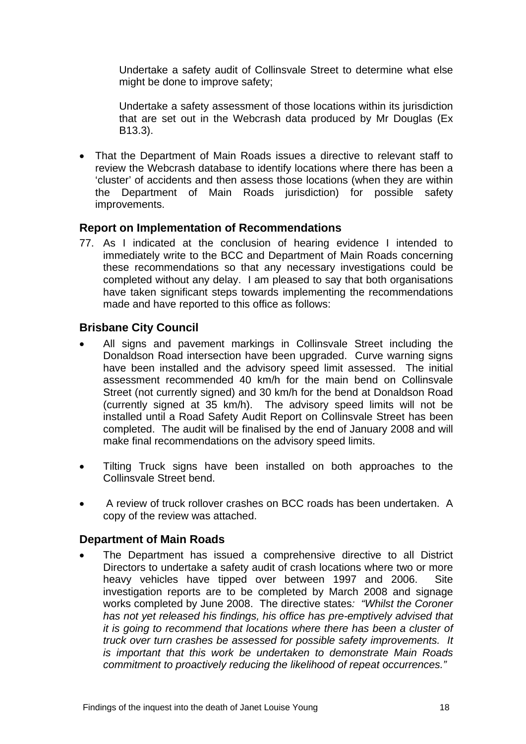Undertake a safety audit of Collinsvale Street to determine what else might be done to improve safety;

Undertake a safety assessment of those locations within its jurisdiction that are set out in the Webcrash data produced by Mr Douglas (Ex B13.3).

• That the Department of Main Roads issues a directive to relevant staff to review the Webcrash database to identify locations where there has been a 'cluster' of accidents and then assess those locations (when they are within the Department of Main Roads jurisdiction) for possible safety improvements.

#### **Report on Implementation of Recommendations**

77. As I indicated at the conclusion of hearing evidence I intended to immediately write to the BCC and Department of Main Roads concerning these recommendations so that any necessary investigations could be completed without any delay. I am pleased to say that both organisations have taken significant steps towards implementing the recommendations made and have reported to this office as follows:

# **Brisbane City Council**

- All signs and pavement markings in Collinsvale Street including the Donaldson Road intersection have been upgraded. Curve warning signs have been installed and the advisory speed limit assessed. The initial assessment recommended 40 km/h for the main bend on Collinsvale Street (not currently signed) and 30 km/h for the bend at Donaldson Road (currently signed at 35 km/h). The advisory speed limits will not be installed until a Road Safety Audit Report on Collinsvale Street has been completed. The audit will be finalised by the end of January 2008 and will make final recommendations on the advisory speed limits.
- Tilting Truck signs have been installed on both approaches to the Collinsvale Street bend.
- A review of truck rollover crashes on BCC roads has been undertaken. A copy of the review was attached.

#### **Department of Main Roads**

• The Department has issued a comprehensive directive to all District Directors to undertake a safety audit of crash locations where two or more heavy vehicles have tipped over between 1997 and 2006. Site investigation reports are to be completed by March 2008 and signage works completed by June 2008. The directive states*: "Whilst the Coroner has not yet released his findings, his office has pre-emptively advised that it is going to recommend that locations where there has been a cluster of truck over turn crashes be assessed for possible safety improvements. It is important that this work be undertaken to demonstrate Main Roads commitment to proactively reducing the likelihood of repeat occurrences."*